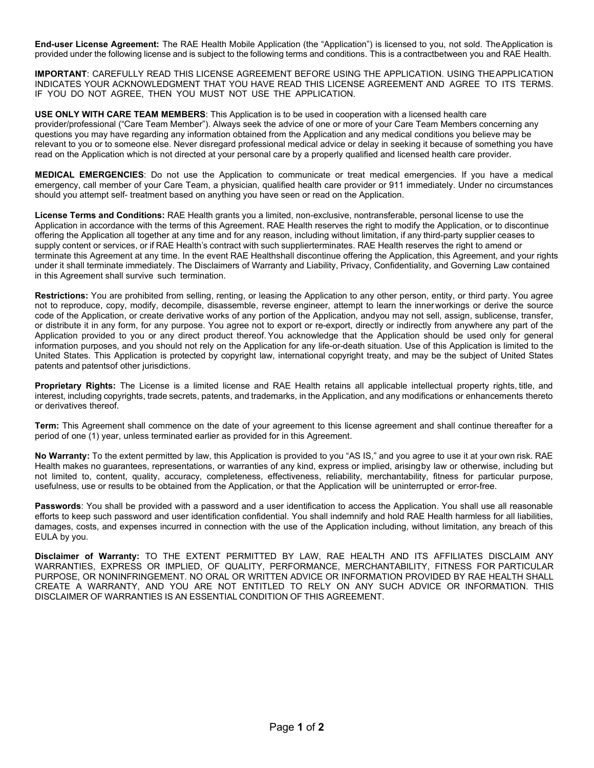**End-user License Agreement:** The RAE Health Mobile Application (the "Application") is licensed to you, not sold. TheApplication is provided under the following license and is subject to the following terms and conditions. This is a contractbetween you and RAE Health.

**IMPORTANT**: CAREFULLY READ THIS LICENSE AGREEMENT BEFORE USING THE APPLICATION. USING THEAPPLICATION INDICATES YOUR ACKNOWLEDGMENT THAT YOU HAVE READ THIS LICENSE AGREEMENT AND AGREE TO ITS TERMS. IF YOU DO NOT AGREE, THEN YOU MUST NOT USE THE APPLICATION.

**USE ONLY WITH CARE TEAM MEMBERS**: This Application is to be used in cooperation with a licensed health care provider/professional ("Care Team Member"). Always seek the advice of one or more of your Care Team Members concerning any questions you may have regarding any information obtained from the Application and any medical conditions you believe may be relevant to you or to someone else. Never disregard professional medical advice or delay in seeking it because of something you have read on the Application which is not directed at your personal care by a properly qualified and licensed health care provider.

**MEDICAL EMERGENCIES**: Do not use the Application to communicate or treat medical emergencies. If you have a medical emergency, call member of your Care Team, a physician, qualified health care provider or 911 immediately. Under no circumstances should you attempt self- treatment based on anything you have seen or read on the Application.

**License Terms and Conditions:** RAE Health grants you a limited, non-exclusive, nontransferable, personal license to use the Application in accordance with the terms of this Agreement. RAE Health reserves the right to modify the Application, or to discontinue offering the Application all together at any time and for any reason, including without limitation, if any third-party supplier ceases to supply content or services, or if RAE Health's contract with such supplierterminates. RAE Health reserves the right to amend or terminate this Agreement at any time. In the event RAE Healthshall discontinue offering the Application, this Agreement, and your rights under it shall terminate immediately. The Disclaimers of Warranty and Liability, Privacy, Confidentiality, and Governing Law contained in this Agreement shall survive such termination.

**Restrictions:** You are prohibited from selling, renting, or leasing the Application to any other person, entity, or third party. You agree not to reproduce, copy, modify, decompile, disassemble, reverse engineer, attempt to learn the innerworkings or derive the source code of the Application, or create derivative works of any portion of the Application, andyou may not sell, assign, sublicense, transfer, or distribute it in any form, for any purpose. You agree not to export or re-export, directly or indirectly from anywhere any part of the Application provided to you or any direct product thereof. You acknowledge that the Application should be used only for general information purposes, and you should not rely on the Application for any life-or-death situation. Use of this Application is limited to the United States. This Application is protected by copyright law, international copyright treaty, and may be the subject of United States patents and patentsof other jurisdictions.

**Proprietary Rights:** The License is a limited license and RAE Health retains all applicable intellectual property rights, title, and interest, including copyrights, trade secrets, patents, and trademarks, in the Application, and any modifications or enhancements thereto or derivatives thereof.

**Term:** This Agreement shall commence on the date of your agreement to this license agreement and shall continue thereafter for a period of one (1) year, unless terminated earlier as provided for in this Agreement.

**No Warranty:** To the extent permitted by law, this Application is provided to you "AS IS," and you agree to use it at your own risk. RAE Health makes no guarantees, representations, or warranties of any kind, express or implied, arisingby law or otherwise, including but not limited to, content, quality, accuracy, completeness, effectiveness, reliability, merchantability, fitness for particular purpose, usefulness, use or results to be obtained from the Application, or that the Application will be uninterrupted or error-free.

Passwords: You shall be provided with a password and a user identification to access the Application. You shall use all reasonable efforts to keep such password and user identification confidential. You shall indemnify and hold RAE Health harmless for all liabilities, damages, costs, and expenses incurred in connection with the use of the Application including, without limitation, any breach of this EULA by you.

**Disclaimer of Warranty:** TO THE EXTENT PERMITTED BY LAW, RAE HEALTH AND ITS AFFILIATES DISCLAIM ANY WARRANTIES, EXPRESS OR IMPLIED, OF QUALITY, PERFORMANCE, MERCHANTABILITY, FITNESS FOR PARTICULAR PURPOSE, OR NONINFRINGEMENT. NO ORAL OR WRITTEN ADVICE OR INFORMATION PROVIDED BY RAE HEALTH SHALL CREATE A WARRANTY, AND YOU ARE NOT ENTITLED TO RELY ON ANY SUCH ADVICE OR INFORMATION. THIS DISCLAIMER OF WARRANTIES IS AN ESSENTIAL CONDITION OF THIS AGREEMENT.